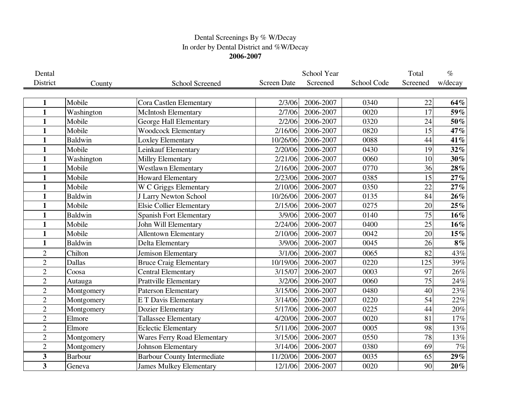## Dental Screenings By % W/Decay In order by Dental District and %W/Decay **2006-2007**

| Dental                  |                |                                    |                    | School Year |             | Total    | $\%$    |
|-------------------------|----------------|------------------------------------|--------------------|-------------|-------------|----------|---------|
| District                | County         | School Screened                    | <b>Screen Date</b> | Screened    | School Code | Screened | w/decay |
|                         |                |                                    |                    |             |             |          |         |
| 1                       | Mobile         | Cora Castlen Elementary            | 2/3/06             | 2006-2007   | 0340        | 22       | 64%     |
| $\mathbf{1}$            | Washington     | <b>McIntosh Elementary</b>         | 2/7/06             | 2006-2007   | 0020        | 17       | 59%     |
| $\mathbf{1}$            | Mobile         | George Hall Elementary             | 2/2/06             | 2006-2007   | 0320        | 24       | 50%     |
| $\mathbf{1}$            | Mobile         | <b>Woodcock Elementary</b>         | 2/16/06            | 2006-2007   | 0820        | 15       | 47%     |
| $\mathbf{1}$            | <b>Baldwin</b> | Loxley Elementary                  | 10/26/06           | 2006-2007   | 0088        | 44       | 41%     |
| $\mathbf{1}$            | Mobile         | Leinkauf Elementary                | 2/20/06            | 2006-2007   | 0430        | 19       | $32\%$  |
| $\mathbf{1}$            | Washington     | Millry Elementary                  | 2/21/06            | 2006-2007   | 0060        | 10       | 30%     |
| 1                       | Mobile         | <b>Westlawn Elementary</b>         | 2/16/06            | 2006-2007   | 0770        | 36       | 28%     |
| $\mathbf{1}$            | Mobile         | <b>Howard Elementary</b>           | 2/23/06            | 2006-2007   | 0385        | 15       | 27%     |
| $\mathbf{1}$            | Mobile         | W C Griggs Elementary              | 2/10/06            | 2006-2007   | 0350        | 22       | 27%     |
| 1                       | <b>Baldwin</b> | J Larry Newton School              | 10/26/06           | 2006-2007   | 0135        | 84       | $26\%$  |
| $\mathbf{1}$            | Mobile         | <b>Elsie Collier Elementary</b>    | 2/15/06            | 2006-2007   | 0275        | 20       | 25%     |
| $\mathbf{1}$            | <b>Baldwin</b> | <b>Spanish Fort Elementary</b>     | 3/9/06             | 2006-2007   | 0140        | 75       | $16\%$  |
| 1                       | Mobile         | John Will Elementary               | 2/24/06            | 2006-2007   | 0400        | 25       | $16\%$  |
| 1                       | Mobile         | <b>Allentown Elementary</b>        | 2/10/06            | 2006-2007   | 0042        | 20       | $15\%$  |
| $\mathbf{1}$            | <b>Baldwin</b> | Delta Elementary                   | 3/9/06             | 2006-2007   | 0045        | 26       | $8\%$   |
| $\overline{2}$          | Chilton        | Jemison Elementary                 | 3/1/06             | 2006-2007   | 0065        | 82       | 43%     |
| $\overline{2}$          | Dallas         | <b>Bruce Craig Elementary</b>      | 10/19/06           | 2006-2007   | 0220        | 125      | 39%     |
| $\overline{2}$          | Coosa          | <b>Central Elementary</b>          | 3/15/07            | 2006-2007   | 0003        | 97       | 26%     |
| $\overline{2}$          | Autauga        | <b>Prattville Elementary</b>       | 3/2/06             | 2006-2007   | 0060        | 75       | 24%     |
| $\overline{2}$          | Montgomery     | <b>Paterson Elementary</b>         | 3/15/06            | 2006-2007   | 0480        | 40       | 23%     |
| $\overline{2}$          | Montgomery     | <b>ET Davis Elementary</b>         | 3/14/06            | 2006-2007   | 0220        | 54       | 22%     |
| $\overline{2}$          | Montgomery     | Dozier Elementary                  | 5/17/06            | 2006-2007   | 0225        | 44       | 20%     |
| $\overline{2}$          | Elmore         | Tallassee Elementary               | 4/20/06            | 2006-2007   | 0020        | 81       | 17%     |
| $\overline{2}$          | Elmore         | <b>Eclectic Elementary</b>         | 5/11/06            | 2006-2007   | 0005        | 98       | 13%     |
| $\overline{2}$          | Montgomery     | <b>Wares Ferry Road Elementary</b> | 3/15/06            | 2006-2007   | 0550        | 78       | $13\%$  |
| $\overline{2}$          | Montgomery     | Johnson Elementary                 | 3/14/06            | 2006-2007   | 0380        | 69       | $7\%$   |
| 3                       | <b>Barbour</b> | <b>Barbour County Intermediate</b> | 11/20/06           | 2006-2007   | 0035        | 65       | $29\%$  |
| $\overline{\mathbf{3}}$ | Geneva         | <b>James Mulkey Elementary</b>     | 12/1/06            | 2006-2007   | 0020        | 90       | $20\%$  |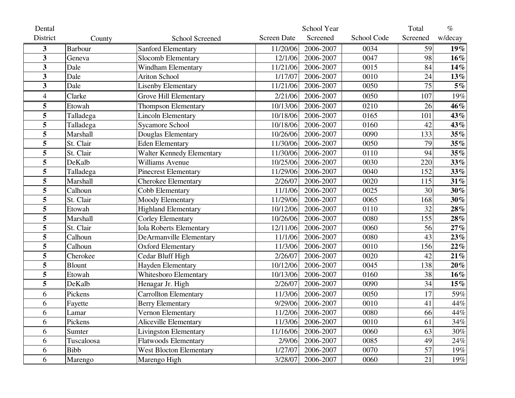| Dental                  |                |                                |                    | School Year |             | Total    | $\%$    |
|-------------------------|----------------|--------------------------------|--------------------|-------------|-------------|----------|---------|
| District                | County         | <b>School Screened</b>         | <b>Screen Date</b> | Screened    | School Code | Screened | w/decay |
| 3                       | <b>Barbour</b> | Sanford Elementary             | 11/20/06           | 2006-2007   | 0034        | 59       | $19\%$  |
| $\overline{\mathbf{3}}$ | Geneva         | Slocomb Elementary             | 12/1/06            | 2006-2007   | 0047        | 98       | $16\%$  |
| 3                       | Dale           | <b>Windham Elementary</b>      | 11/21/06           | 2006-2007   | 0015        | 84       | 14%     |
| 3                       | Dale           | <b>Ariton School</b>           | 1/17/07            | 2006-2007   | 0010        | 24       | 13%     |
| 3                       | Dale           | <b>Lisenby Elementary</b>      | 11/21/06           | 2006-2007   | 0050        | 75       | $5\%$   |
| 4                       | Clarke         | Grove Hill Elementary          | 2/21/06            | 2006-2007   | 0050        | 107      | 19%     |
| 5                       | Etowah         | Thompson Elementary            | 10/13/06           | 2006-2007   | 0210        | 26       | 46%     |
| 5                       | Talladega      | <b>Lincoln Elementary</b>      | 10/18/06           | 2006-2007   | 0165        | 101      | 43%     |
| 5                       | Talladega      | <b>Sycamore School</b>         | 10/18/06           | 2006-2007   | 0160        | 42       | 43%     |
| 5                       | Marshall       | Douglas Elementary             | 10/26/06           | 2006-2007   | 0090        | 133      | 35%     |
| 5                       | St. Clair      | <b>Eden Elementary</b>         | 11/30/06           | 2006-2007   | 0050        | 79       | 35%     |
| 5                       | St. Clair      | Walter Kennedy Elementary      | 11/30/06           | 2006-2007   | 0110        | 94       | 35%     |
| 5                       | DeKalb         | Williams Avenue                | 10/25/06           | 2006-2007   | 0030        | 220      | 33%     |
| 5                       | Talladega      | <b>Pinecrest Elementary</b>    | 11/29/06           | 2006-2007   | 0040        | 152      | 33%     |
| 5                       | Marshall       | <b>Cherokee Elementary</b>     | 2/26/07            | 2006-2007   | 0020        | 115      | 31%     |
| 5                       | Calhoun        | Cobb Elementary                | 11/1/06            | 2006-2007   | 0025        | 30       | $30\%$  |
| 5                       | St. Clair      | Moody Elementary               | 11/29/06           | 2006-2007   | 0065        | 168      | $30\%$  |
| 5                       | Etowah         | <b>Highland Elementary</b>     | 10/12/06           | 2006-2007   | 0110        | 32       | 28%     |
| 5                       | Marshall       | <b>Corley Elementary</b>       | 10/26/06           | 2006-2007   | 0080        | 155      | 28%     |
| 5                       | St. Clair      | <b>Iola Roberts Elementary</b> | 12/11/06           | 2006-2007   | 0060        | 56       | 27%     |
| 5                       | Calhoun        | <b>DeArmanville Elementary</b> | 11/1/06            | 2006-2007   | 0080        | 43       | 23%     |
| 5                       | Calhoun        | <b>Oxford Elementary</b>       | 11/3/06            | 2006-2007   | 0010        | 156      | 22%     |
| 5                       | Cherokee       | Cedar Bluff High               | 2/26/07            | 2006-2007   | 0020        | 42       | 21%     |
| 5                       | <b>Blount</b>  | Hayden Elementary              | 10/12/06           | 2006-2007   | 0045        | 138      | $20\%$  |
| 5                       | Etowah         | Whitesboro Elementary          | 10/13/06           | 2006-2007   | 0160        | 38       | $16\%$  |
| 5                       | DeKalb         | Henagar Jr. High               | 2/26/07            | 2006-2007   | 0090        | 34       | $15\%$  |
| 6                       | Pickens        | <b>Carrollton Elementary</b>   | 11/3/06            | 2006-2007   | 0050        | 17       | 59%     |
| 6                       | Fayette        | <b>Berry Elementary</b>        | 9/29/06            | 2006-2007   | 0010        | 41       | 44%     |
| 6                       | Lamar          | Vernon Elementary              | 11/2/06            | 2006-2007   | 0080        | 66       | 44%     |
| 6                       | Pickens        | Aliceville Elementary          | 11/3/06            | 2006-2007   | 0010        | 61       | 34%     |
| 6                       | Sumter         | <b>Livingston Elementary</b>   | 11/16/06           | 2006-2007   | 0060        | 63       | 30%     |
| 6                       | Tuscaloosa     | <b>Flatwoods Elementary</b>    | 2/9/06             | 2006-2007   | 0085        | 49       | 24%     |
| 6                       | <b>Bibb</b>    | <b>West Blocton Elementary</b> | 1/27/07            | 2006-2007   | 0070        | 57       | 19%     |
| 6                       | Marengo        | Marengo High                   | 3/28/07            | 2006-2007   | 0060        | 21       | 19%     |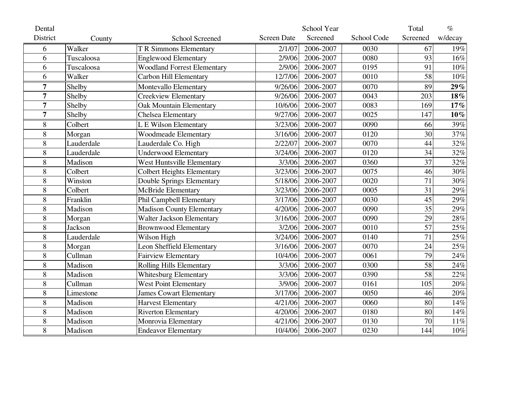| Dental          |                |                                    |                    | School Year |             | Total    | $\%$    |
|-----------------|----------------|------------------------------------|--------------------|-------------|-------------|----------|---------|
| <b>District</b> | County         | <b>School Screened</b>             | <b>Screen Date</b> | Screened    | School Code | Screened | w/decay |
| 6               | Walker         | <b>T R Simmons Elementary</b>      | 2/1/07             | 2006-2007   | 0030        | 67       | 19%     |
| 6               | Tuscaloosa     | <b>Englewood Elementary</b>        | 2/9/06             | 2006-2007   | 0080        | 93       | 16%     |
| 6               | Tuscaloosa     | <b>Woodland Forrest Elementary</b> | 2/9/06             | 2006-2007   | 0195        | 91       | $10\%$  |
| 6               | Walker         | <b>Carbon Hill Elementary</b>      | 12/7/06            | 2006-2007   | 0010        | 58       | 10%     |
| 7               | Shelby         | <b>Montevallo Elementary</b>       | 9/26/06            | 2006-2007   | 0070        | 89       | 29%     |
| $\overline{7}$  | Shelby         | <b>Creekview Elementary</b>        | 9/26/06            | 2006-2007   | 0043        | 203      | $18\%$  |
| 7               | Shelby         | <b>Oak Mountain Elementary</b>     | 10/6/06            | 2006-2007   | 0083        | 169      | 17%     |
| $\overline{7}$  | Shelby         | Chelsea Elementary                 | 9/27/06            | 2006-2007   | 0025        | 147      | $10\%$  |
| 8               | Colbert        | L E Wilson Elementary              | 3/23/06            | 2006-2007   | 0090        | 66       | 39%     |
| 8               | Morgan         | <b>Woodmeade Elementary</b>        | 3/16/06            | 2006-2007   | 0120        | 30       | 37%     |
| 8               | Lauderdale     | Lauderdale Co. High                | 2/22/07            | 2006-2007   | 0070        | 44       | 32%     |
| 8               | Lauderdale     | <b>Underwood Elementary</b>        | 3/24/06            | 2006-2007   | 0120        | 34       | 32%     |
| 8               | Madison        | West Huntsville Elementary         | 3/3/06             | 2006-2007   | 0360        | 37       | 32%     |
| 8               | Colbert        | <b>Colbert Heights Elementary</b>  | 3/23/06            | 2006-2007   | 0075        | 46       | 30%     |
| 8               | Winston        | <b>Double Springs Elementary</b>   | 5/18/06            | 2006-2007   | 0020        | 71       | 30%     |
| 8               | Colbert        | <b>McBride Elementary</b>          | 3/23/06            | 2006-2007   | 0005        | 31       | 29%     |
| 8               | Franklin       | Phil Campbell Elementary           | 3/17/06            | 2006-2007   | 0030        | 45       | 29%     |
| 8               | Madison        | <b>Madison County Elementary</b>   | 4/20/06            | 2006-2007   | 0090        | 35       | 29%     |
| 8               | Morgan         | <b>Walter Jackson Elementary</b>   | 3/16/06            | 2006-2007   | 0090        | 29       | 28%     |
| 8               | <b>Jackson</b> | <b>Brownwood Elementary</b>        | 3/2/06             | 2006-2007   | 0010        | 57       | 25%     |
| 8               | Lauderdale     | Wilson High                        | 3/24/06            | 2006-2007   | 0140        | 71       | 25%     |
| 8               | Morgan         | <b>Leon Sheffield Elementary</b>   | 3/16/06            | 2006-2007   | 0070        | 24       | 25%     |
| 8               | Cullman        | <b>Fairview Elementary</b>         | 10/4/06            | 2006-2007   | 0061        | 79       | 24%     |
| 8               | Madison        | <b>Rolling Hills Elementary</b>    | 3/3/06             | 2006-2007   | 0300        | 58       | 24%     |
| 8               | Madison        | <b>Whitesburg Elementary</b>       | 3/3/06             | 2006-2007   | 0390        | 58       | 22%     |
| 8               | Cullman        | West Point Elementary              | 3/9/06             | 2006-2007   | 0161        | 105      | 20%     |
| 8               | Limestone      | <b>James Cowart Elementary</b>     | 3/17/06            | 2006-2007   | 0050        | 46       | 20%     |
| 8               | Madison        | <b>Harvest Elementary</b>          | 4/21/06            | 2006-2007   | 0060        | 80       | 14%     |
| 8               | Madison        | <b>Riverton Elementary</b>         | 4/20/06            | 2006-2007   | 0180        | 80       | 14%     |
| 8               | Madison        | Monrovia Elementary                | 4/21/06            | 2006-2007   | 0130        | 70       | 11%     |
| 8               | Madison        | <b>Endeavor Elementary</b>         | 10/4/06            | 2006-2007   | 0230        | 144      | $10\%$  |